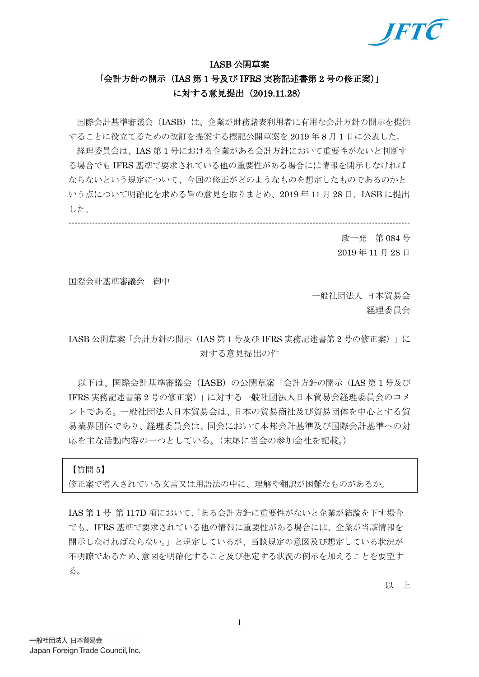

### IASB 公開草案

## 「会計方針の開示(IAS 第1号及び IFRS 実務記述書第2号の修正案)」 に対する意見提出(2019.11.28)

国際会計基準審議会(IASB)は、企業が財務諸表利用者に有用な会計方針の開示を提供 することに役立てるための改訂を提案する標記公開草案を 2019 年 8 月 1 日に公表した。

経理委員会は、IAS 第 1 号における企業がある会計方針において重要性がないと判断す る場合でも IFRS 基準で要求されている他の重要性がある場合には情報を開示しなければ ならないという規定について、今回の修正がどのようなものを想定したものであるのかと いう点について明確化を求める旨の意見を取りまとめ、2019 年 11 月 28 日、IASB に提出 した。

-------------------------------------------------------------------------------------------------------------------- 政一発 第 084 号

2019 年 11 月 28 日

国際会計基準審議会 御中

一般社団法人 日本貿易会 経理委員会

IASB 公開草案「会計方針の開示(IAS 第 1 号及び IFRS 実務記述書第 2 号の修正案)」に 対する意見提出の件

以下は、国際会計基準審議会 (IASB) の公開草案「会計方針の開示 (IAS 第1号及び IFRS 実務記述書第 2 号の修正案)」に対する一般社団法人日本貿易会経理委員会のコメ ントである。一般社団法人日本貿易会は、日本の貿易商社及び貿易団体を中心とする貿 易業界団体であり、経理委員会は、同会において本邦会計基準及び国際会計基準への対 応を主な活動内容の一つとしている。(末尾に当会の参加会社を記載。)

【質問 5】

修正案で導入されている文言又は用語法の中に、理解や翻訳が困難なものがあるか。

IAS 第 1 号 第 117D 項において、「ある会計方針に重要性がないと企業が結論を下す場合 でも、IFRS 基準で要求されている他の情報に重要性がある場合には、企業が当該情報を 開示しなければならない。」と規定しているが、当該規定の意図及び想定している状況が 不明瞭であるため、意図を明確化すること及び想定する状況の例示を加えることを要望す る。

以 上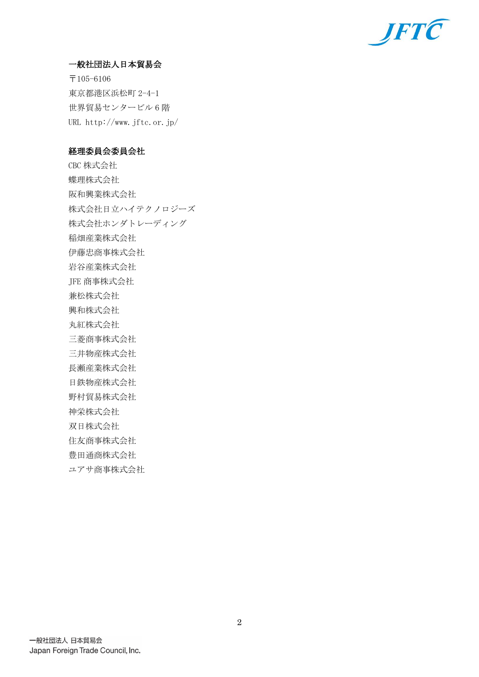

## 一般社団法人日本貿易会

〒105-6106 東京都港区浜松町 2-4-1 世界貿易センタービル 6 階 URL http://www.jftc.or.jp/

## 経理委員会委員会社

CBC 株式会社 蝶理株式会社 阪和興業株式会社 株式会社日立ハイテクノロジーズ 株式会社ホンダトレーディング 稲畑産業株式会社 伊藤忠商事株式会社 岩谷産業株式会社 JFE 商事株式会社 兼松株式会社 興和株式会社 丸紅株式会社 三菱商事株式会社 三井物産株式会社 長瀬産業株式会社 日鉄物産株式会社 野村貿易株式会社 神栄株式会社 双日株式会社 住友商事株式会社 豊田通商株式会社 ユアサ商事株式会社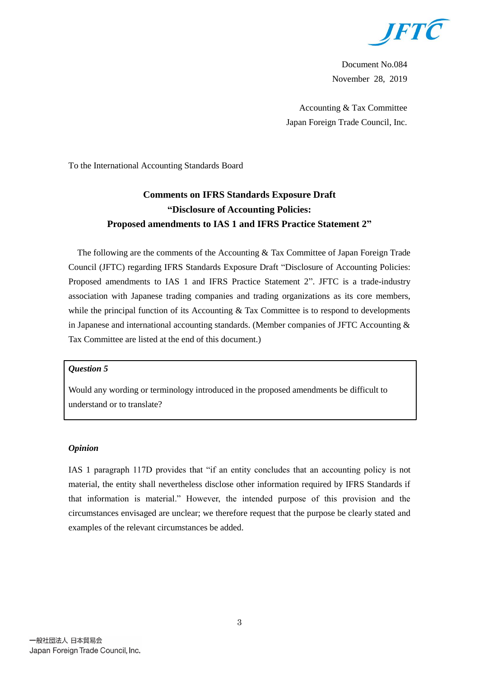

Document No.084 November 28, 2019

Accounting & Tax Committee Japan Foreign Trade Council, Inc.

To the International Accounting Standards Board

# **Comments on IFRS Standards Exposure Draft "Disclosure of Accounting Policies: Proposed amendments to IAS 1 and IFRS Practice Statement 2"**

The following are the comments of the Accounting & Tax Committee of Japan Foreign Trade Council (JFTC) regarding IFRS Standards Exposure Draft "Disclosure of Accounting Policies: Proposed amendments to IAS 1 and IFRS Practice Statement 2". JFTC is a trade-industry association with Japanese trading companies and trading organizations as its core members, while the principal function of its Accounting  $&$  Tax Committee is to respond to developments in Japanese and international accounting standards. (Member companies of JFTC Accounting & Tax Committee are listed at the end of this document.)

## *Question 5*

Would any wording or terminology introduced in the proposed amendments be difficult to understand or to translate?

#### *Opinion*

IAS 1 paragraph 117D provides that "if an entity concludes that an accounting policy is not material, the entity shall nevertheless disclose other information required by IFRS Standards if that information is material." However, the intended purpose of this provision and the circumstances envisaged are unclear; we therefore request that the purpose be clearly stated and examples of the relevant circumstances be added.